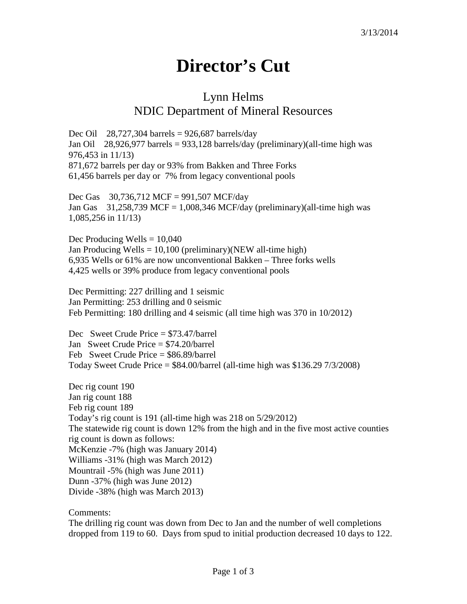## **Director's Cut**

## Lynn Helms NDIC Department of Mineral Resources

Dec Oil 28,727,304 barrels =  $926,687$  barrels/day Jan Oil 28,926,977 barrels = 933,128 barrels/day (preliminary)(all-time high was 976,453 in 11/13) 871,672 barrels per day or 93% from Bakken and Three Forks 61,456 barrels per day or 7% from legacy conventional pools

Dec Gas 30,736,712 MCF = 991,507 MCF/day Jan Gas  $31,258,739$  MCF = 1,008,346 MCF/day (preliminary)(all-time high was 1,085,256 in 11/13)

Dec Producing Wells  $= 10,040$ Jan Producing Wells =  $10,100$  (preliminary)(NEW all-time high) 6,935 Wells or 61% are now unconventional Bakken – Three forks wells 4,425 wells or 39% produce from legacy conventional pools

Dec Permitting: 227 drilling and 1 seismic Jan Permitting: 253 drilling and 0 seismic Feb Permitting: 180 drilling and 4 seismic (all time high was 370 in 10/2012)

Dec Sweet Crude Price = \$73.47/barrel Jan Sweet Crude Price = \$74.20/barrel Feb Sweet Crude Price = \$86.89/barrel Today Sweet Crude Price  $=$  \$84.00/barrel (all-time high was \$136.29 7/3/2008)

Dec rig count 190 Jan rig count 188 Feb rig count 189 Today's rig count is 191 (all-time high was 218 on 5/29/2012) The statewide rig count is down 12% from the high and in the five most active counties rig count is down as follows: McKenzie -7% (high was January 2014) Williams -31% (high was March 2012) Mountrail -5% (high was June 2011) Dunn -37% (high was June 2012) Divide -38% (high was March 2013)

Comments:

The drilling rig count was down from Dec to Jan and the number of well completions dropped from 119 to 60. Days from spud to initial production decreased 10 days to 122.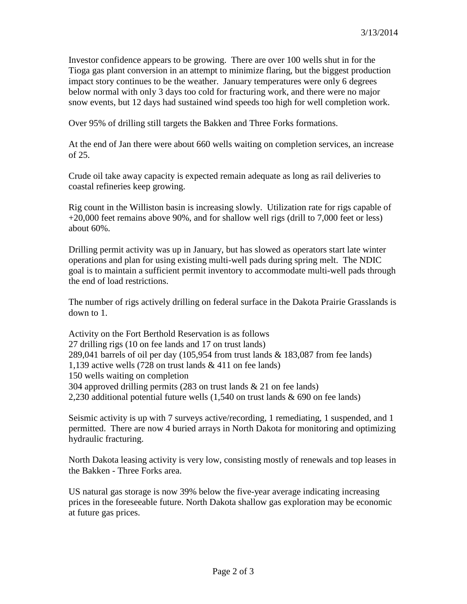Investor confidence appears to be growing. There are over 100 wells shut in for the Tioga gas plant conversion in an attempt to minimize flaring, but the biggest production impact story continues to be the weather. January temperatures were only 6 degrees below normal with only 3 days too cold for fracturing work, and there were no major snow events, but 12 days had sustained wind speeds too high for well completion work.

Over 95% of drilling still targets the Bakken and Three Forks formations.

At the end of Jan there were about 660 wells waiting on completion services, an increase of 25.

Crude oil take away capacity is expected remain adequate as long as rail deliveries to coastal refineries keep growing.

Rig count in the Williston basin is increasing slowly. Utilization rate for rigs capable of +20,000 feet remains above 90%, and for shallow well rigs (drill to 7,000 feet or less) about 60%.

Drilling permit activity was up in January, but has slowed as operators start late winter operations and plan for using existing multi-well pads during spring melt. The NDIC goal is to maintain a sufficient permit inventory to accommodate multi-well pads through the end of load restrictions.

The number of rigs actively drilling on federal surface in the Dakota Prairie Grasslands is down to 1.

Activity on the Fort Berthold Reservation is as follows 27 drilling rigs (10 on fee lands and 17 on trust lands) 289,041 barrels of oil per day  $(105,954$  from trust lands & 183,087 from fee lands) 1,139 active wells (728 on trust lands & 411 on fee lands) 150 wells waiting on completion 304 approved drilling permits (283 on trust lands & 21 on fee lands) 2,230 additional potential future wells (1,540 on trust lands & 690 on fee lands)

Seismic activity is up with 7 surveys active/recording, 1 remediating, 1 suspended, and 1 permitted. There are now 4 buried arrays in North Dakota for monitoring and optimizing hydraulic fracturing.

North Dakota leasing activity is very low, consisting mostly of renewals and top leases in the Bakken - Three Forks area.

US natural gas storage is now 39% below the five-year average indicating increasing prices in the foreseeable future. North Dakota shallow gas exploration may be economic at future gas prices.